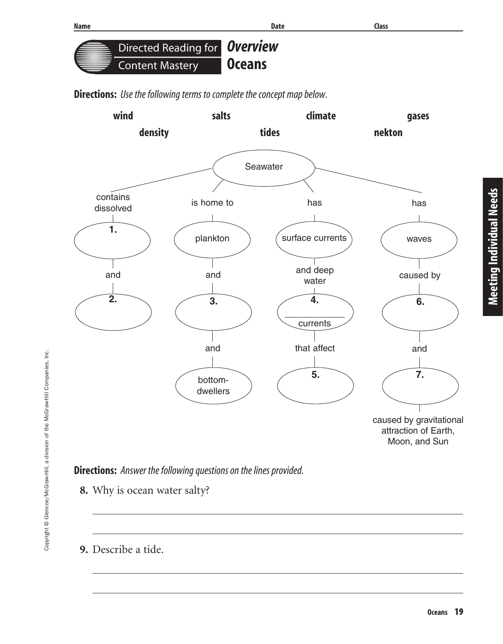**Directions:** Use the following terms to complete the concept map below.



**Directions:** Answer the following questions on the lines provided.

- **8.** Why is ocean water salty?
- **9.** Describe a tide.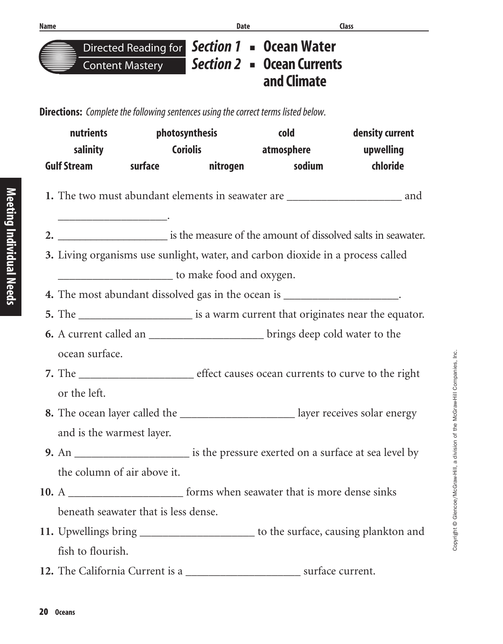

**Directed Reading for Section 1 ■ Ocean Water Section 2** ■ **Ocean Currents and Climate**

**Directions:** Complete the following sentences using the correct terms listed below.

| nutrients<br>salinity |                                                                                      | photosynthesis                       |                 | <b>cold</b>                                                                             | density current                                                                       |
|-----------------------|--------------------------------------------------------------------------------------|--------------------------------------|-----------------|-----------------------------------------------------------------------------------------|---------------------------------------------------------------------------------------|
|                       |                                                                                      |                                      |                 | Coriolis atmosphere and upwelling                                                       |                                                                                       |
|                       | <b>Gulf Stream</b>                                                                   | <b>surface</b>                       | <b>nitrogen</b> | sodium                                                                                  | chloride                                                                              |
|                       |                                                                                      |                                      |                 |                                                                                         | 1. The two must abundant elements in seawater are _______________________________ and |
|                       |                                                                                      |                                      |                 |                                                                                         |                                                                                       |
|                       | 3. Living organisms use sunlight, water, and carbon dioxide in a process called      |                                      |                 |                                                                                         |                                                                                       |
|                       |                                                                                      | to make food and oxygen.             |                 |                                                                                         |                                                                                       |
|                       |                                                                                      |                                      |                 | 4. The most abundant dissolved gas in the ocean is ______________________.              |                                                                                       |
|                       | 5. The _________________________ is a warm current that originates near the equator. |                                      |                 |                                                                                         |                                                                                       |
|                       |                                                                                      |                                      |                 | <b>6.</b> A current called an ____________________________brings deep cold water to the |                                                                                       |
|                       | ocean surface.                                                                       |                                      |                 |                                                                                         |                                                                                       |
|                       |                                                                                      |                                      |                 |                                                                                         |                                                                                       |
|                       | or the left.                                                                         |                                      |                 |                                                                                         |                                                                                       |
|                       |                                                                                      |                                      |                 |                                                                                         | 8. The ocean layer called the __________________________ layer receives solar energy  |
|                       | and is the warmest layer.                                                            |                                      |                 |                                                                                         |                                                                                       |
|                       |                                                                                      |                                      |                 |                                                                                         |                                                                                       |
|                       | the column of air above it.                                                          |                                      |                 |                                                                                         |                                                                                       |
|                       |                                                                                      |                                      |                 | forms when seawater that is more dense sinks                                            |                                                                                       |
|                       |                                                                                      | beneath seawater that is less dense. |                 |                                                                                         |                                                                                       |
|                       |                                                                                      |                                      |                 |                                                                                         | 11. Upwellings bring ________________________ to the surface, causing plankton and    |
|                       | fish to flourish.                                                                    |                                      |                 |                                                                                         |                                                                                       |
|                       | 12. The California Current is a                                                      |                                      |                 |                                                                                         | surface current.                                                                      |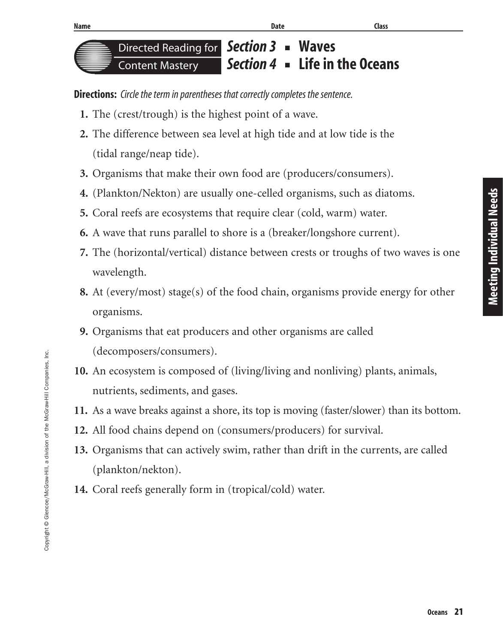

**Directions:** Circle the term in parentheses that correctly completes the sentence.

- **1.** The (crest/trough) is the highest point of a wave.
- **2.** The difference between sea level at high tide and at low tide is the (tidal range/neap tide).
- **3.** Organisms that make their own food are (producers/consumers).
- **4.** (Plankton/Nekton) are usually one-celled organisms, such as diatoms.
- **5.** Coral reefs are ecosystems that require clear (cold, warm) water.
- **6.** A wave that runs parallel to shore is a (breaker/longshore current).
- **7.** The (horizontal/vertical) distance between crests or troughs of two waves is one wavelength.
- **8.** At (every/most) stage(s) of the food chain, organisms provide energy for other organisms.
- **9.** Organisms that eat producers and other organisms are called (decomposers/consumers).
- **10.** An ecosystem is composed of (living/living and nonliving) plants, animals, nutrients, sediments, and gases.
- **11.** As a wave breaks against a shore, its top is moving (faster/slower) than its bottom.
- **12.** All food chains depend on (consumers/producers) for survival.
- **13.** Organisms that can actively swim, rather than drift in the currents, are called (plankton/nekton).
- **14.** Coral reefs generally form in (tropical/cold) water.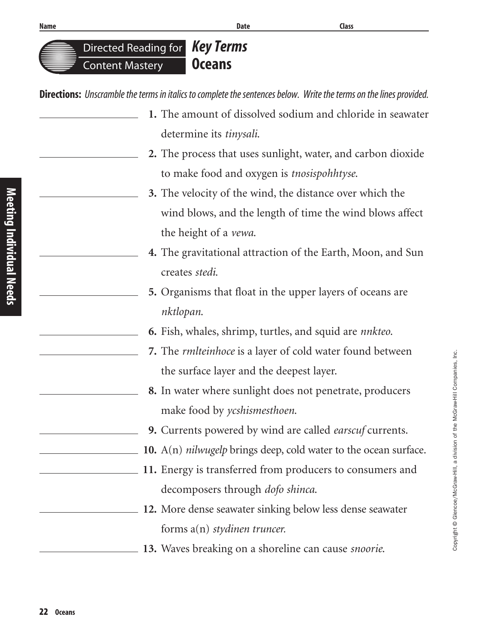**Key Terms Oceans** Directed Reading for Content Mastery

**Directions:** Unscramble the terms in italics to complete the sentences below. Write the terms on the lines provided.

- **1.** The amount of dissolved sodium and chloride in seawater determine its *tinysali*.
- **2.** The process that uses sunlight, water, and carbon dioxide to make food and oxygen is *tnosispohhtyse*.
- **3.** The velocity of the wind, the distance over which the wind blows, and the length of time the wind blows affect the height of a *vewa*.
- **4.** The gravitational attraction of the Earth, Moon, and Sun creates *stedi*.
- **5.** Organisms that float in the upper layers of oceans are *nktlopan*.
- **6.** Fish, whales, shrimp, turtles, and squid are *nnkteo*.
- **7.** The *rmlteinhoce* is a layer of cold water found between the surface layer and the deepest layer.
- **8.** In water where sunlight does not penetrate, producers make food by *ycshismesthoen*.
- **9.** Currents powered by wind are called *earscuf* currents.
- **10.** A(n) *nilwugelp* brings deep, cold water to the ocean surface.
- **11.** Energy is transferred from producers to consumers and decomposers through *dofo shinca*.
- **12.** More dense seawater sinking below less dense seawater forms a(n) *stydinen truncer.*
- **13.** Waves breaking on a shoreline can cause *snoorie*.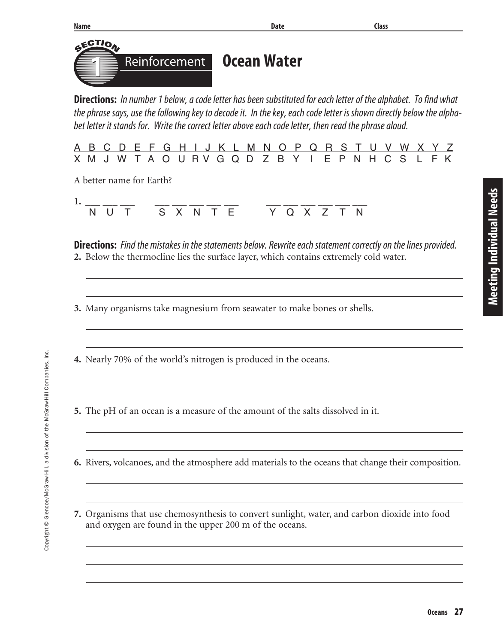

**7.** Organisms that use chemosynthesis to convert sunlight, water, and carbon dioxide into food and oxygen are found in the upper 200 m of the oceans.

**Meeting Individual Needs**

Meeting Individual Needs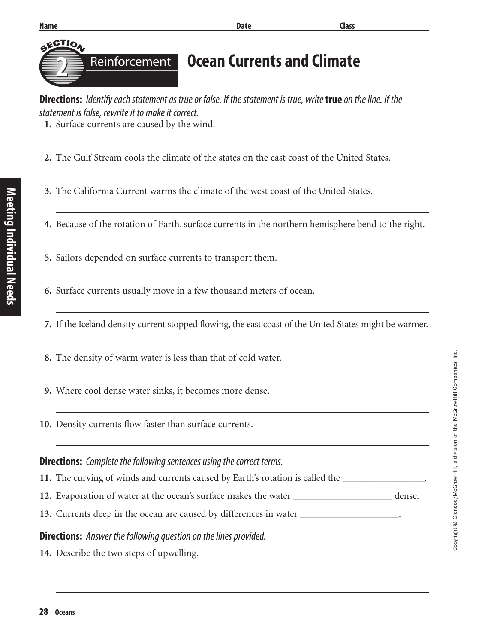| <b>Name</b>    | <b>Date</b>                                                                                                | <b>Class</b> |
|----------------|------------------------------------------------------------------------------------------------------------|--------------|
| <b>SECTION</b> | <b>Reinforcement Ocean Currents and Climate</b>                                                            |              |
|                | Divertises Identify each statement as true or false If the statement is true write tuys on the line If the |              |

**Directions:** Identify each statement as true or false. If the statement is true, write **true** on the line. If the statement is false, rewrite it to make it correct.

**1.** Surface currents are caused by the wind.

- **2.** The Gulf Stream cools the climate of the states on the east coast of the United States.
- **3.** The California Current warms the climate of the west coast of the United States.
- **4.** Because of the rotation of Earth, surface currents in the northern hemisphere bend to the right.
- **5.** Sailors depended on surface currents to transport them.
- **6.** Surface currents usually move in a few thousand meters of ocean.
- **7.** If the Iceland density current stopped flowing, the east coast of the United States might be warmer.
- **8.** The density of warm water is less than that of cold water.
- **9.** Where cool dense water sinks, it becomes more dense.
- **10.** Density currents flow faster than surface currents.

#### **Directions:** Complete the following sentences using the correct terms.

- **11.** The curving of winds and currents caused by Earth's rotation is called the **winds**
- **12.** Evaporation of water at the ocean's surface makes the water \_\_\_\_\_\_\_\_\_\_\_\_\_\_\_\_\_\_\_\_\_ dense.
- **13.** Currents deep in the ocean are caused by differences in water \_\_\_\_\_\_\_\_\_\_\_\_\_\_\_\_\_\_\_.

#### **Directions:** Answer the following question on the lines provided.

**14.** Describe the two steps of upwelling.

Meeting Individual Needs **Meeting Individual Needs**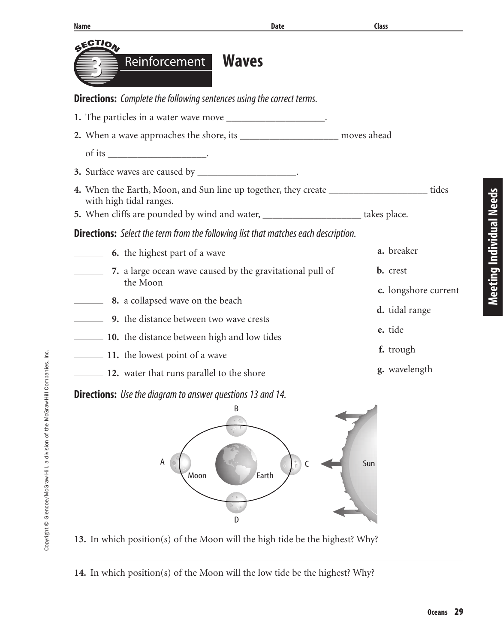| <b>Name</b>                                                                                                                                                                                                 | <b>Date</b> | Class                |
|-------------------------------------------------------------------------------------------------------------------------------------------------------------------------------------------------------------|-------------|----------------------|
| <b>SECTION</b><br><b>Waves</b><br>Reinforcement                                                                                                                                                             |             |                      |
| <b>Directions:</b> Complete the following sentences using the correct terms.                                                                                                                                |             |                      |
| 1. The particles in a water wave move __________________________.                                                                                                                                           |             |                      |
| 2. When a wave approaches the shore, its _________________________ moves ahead                                                                                                                              |             |                      |
|                                                                                                                                                                                                             |             |                      |
| 3. Surface waves are caused by _____________________.                                                                                                                                                       |             |                      |
| 4. When the Earth, Moon, and Sun line up together, they create ______________________tides<br>with high tidal ranges.<br>5. When cliffs are pounded by wind and water, _______________________ takes place. |             |                      |
|                                                                                                                                                                                                             |             |                      |
| <b>Directions:</b> Select the term from the following list that matches each description.                                                                                                                   |             | a. breaker           |
| 6. the highest part of a wave                                                                                                                                                                               |             |                      |
| 7. a large ocean wave caused by the gravitational pull of<br>the Moon                                                                                                                                       |             | <b>b.</b> crest      |
| <b>8.</b> a collapsed wave on the beach                                                                                                                                                                     |             | c. longshore current |
| <b>9.</b> the distance between two wave crests                                                                                                                                                              |             | d. tidal range       |
| <b>10.</b> the distance between high and low tides                                                                                                                                                          |             | e. tide              |
| 11. the lowest point of a wave                                                                                                                                                                              |             | f. trough            |
| 12. water that runs parallel to the shore                                                                                                                                                                   |             | g. wavelength        |
| <b>Directions:</b> Use the diagram to answer questions 13 and 14.                                                                                                                                           |             |                      |
| В<br>Α<br>Moon<br>D                                                                                                                                                                                         | C<br>Earth  | Sun                  |

**13.** In which position(s) of the Moon will the high tide be the highest? Why?

**14.** In which position(s) of the Moon will the low tide be the highest? Why?

**Meeting Individual Needs**

**Meeting Individual Needs**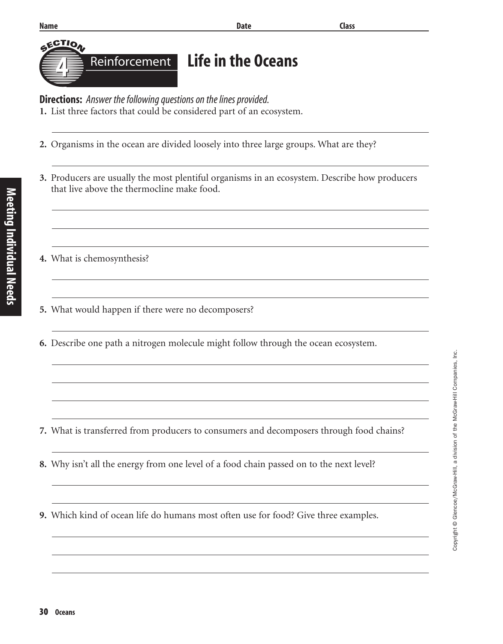Meeting Individual Needs **Meeting Individual Needs**

**GECTION** 

#### **Name Class**

| יסו בֿ                                              |  |
|-----------------------------------------------------|--|
| <b>A Example 2 Reinforcement</b> Life in the Oceans |  |
|                                                     |  |

**Directions:** Answer the following questions on the lines provided.

**1.** List three factors that could be considered part of an ecosystem.

- **2.** Organisms in the ocean are divided loosely into three large groups. What are they?
- **3.** Producers are usually the most plentiful organisms in an ecosystem. Describe how producers that live above the thermocline make food.
- **4.** What is chemosynthesis?
- **5.** What would happen if there were no decomposers?
- **6.** Describe one path a nitrogen molecule might follow through the ocean ecosystem.

- **7.** What is transferred from producers to consumers and decomposers through food chains?
- **8.** Why isn't all the energy from one level of a food chain passed on to the next level?
- **9.** Which kind of ocean life do humans most often use for food? Give three examples.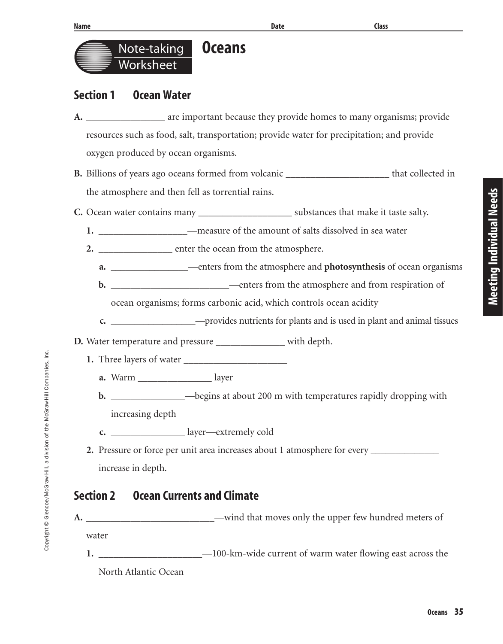



## **Section 1 Ocean Water**

- **A.** \_\_\_\_\_\_\_\_\_\_\_\_\_\_\_\_ are important because they provide homes to many organisms; provide resources such as food, salt, transportation; provide water for precipitation; and provide oxygen produced by ocean organisms.
- **B.** Billions of years ago oceans formed from volcanic \_\_\_\_\_\_\_\_\_\_\_\_\_\_\_\_\_\_\_\_\_\_ that collected in the atmosphere and then fell as torrential rains.
- **C.** Ocean water contains many **Exercise Section** substances that make it taste salty.
	- **1.** \_\_\_\_\_\_\_\_\_\_\_\_\_\_\_\_\_\_—measure of the amount of salts dissolved in sea water
	- **2.** \_\_\_\_\_\_\_\_\_\_\_\_\_\_\_ enter the ocean from the atmosphere.
		- **a.** \_\_\_\_\_\_\_\_\_\_\_\_\_\_\_\_—enters from the atmosphere and **photosynthesis** of ocean organisms
		- **b.** \_\_\_\_\_\_\_\_\_\_\_\_\_\_\_\_\_\_\_\_\_\_\_\_—enters from the atmosphere and from respiration of

ocean organisms; forms carbonic acid, which controls ocean acidity

- **c.** \_\_\_\_\_\_\_\_\_\_\_\_\_\_\_\_\_\_—provides nutrients for plants and is used in plant and animal tissues
- **D.** Water temperature and pressure \_\_\_\_\_\_\_\_\_\_\_\_\_\_ with depth.
	- **1.** Three layers of water \_\_\_\_\_\_\_\_\_\_\_\_\_\_\_\_\_\_\_\_\_
		- **a.** Warm \_\_\_\_\_\_\_\_\_\_\_\_\_\_\_ layer
		- **b.** \_\_\_\_\_\_\_\_\_\_\_\_\_\_\_\_\_\_\_\_\_\_\_\_\_\_begins at about 200 m with temperatures rapidly dropping with increasing depth
		- **c.** \_\_\_\_\_\_\_\_\_\_\_\_\_\_\_ layer—extremely cold
	- **2.** Pressure or force per unit area increases about 1 atmosphere for every increase in depth.

## **Section 2 Ocean Currents and Climate**

Copyright © Glencoe/McGraw-Hill, a division of the McGraw-Hill Companies, Inc.

Copyright @ Glencoe/McGraw-Hill, a division of the McGraw-Hill Companies, Inc.

- **A.** \_\_\_\_\_\_\_\_\_\_\_\_\_\_\_\_\_\_\_\_\_\_\_\_\_\_—wind that moves only the upper few hundred meters of
	- water
	- **1.** \_\_\_\_\_\_\_\_\_\_\_\_\_\_\_\_\_\_\_\_\_—100-km-wide current of warm water flowing east across the North Atlantic Ocean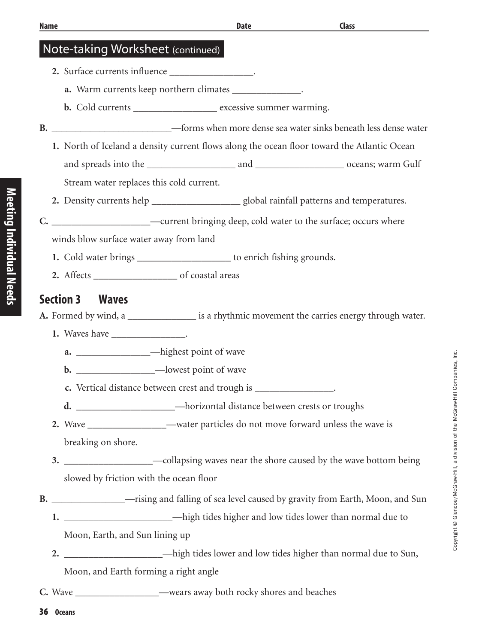#### Note-taking Worksheet (continued)

- **2.** Surface currents influence \_\_\_\_\_\_\_\_\_\_\_\_\_\_\_\_\_.
	- **a.** Warm currents keep northern climates \_\_\_\_\_\_\_\_\_\_\_\_\_\_.
	- **b.** Cold currents **b.** excessive summer warming.
- **B.** \_\_\_\_\_\_\_\_\_\_\_\_\_\_\_\_\_\_\_\_\_\_\_\_\_—forms when more dense sea water sinks beneath less dense water
	- **1.** North of Iceland a density current flows along the ocean floor toward the Atlantic Ocean and spreads into the \_\_\_\_\_\_\_\_\_\_\_\_\_\_\_\_\_\_ and \_\_\_\_\_\_\_\_\_\_\_\_\_\_\_\_\_\_ oceans; warm Gulf Stream water replaces this cold current.
		-
	- **2.** Density currents help \_\_\_\_\_\_\_\_\_\_\_\_\_\_\_\_\_\_ global rainfall patterns and temperatures.
- **C.** \_\_\_\_\_\_\_\_\_\_\_\_\_\_\_\_\_\_\_\_—current bringing deep, cold water to the surface; occurs where

winds blow surface water away from land

- **1.** Cold water brings \_\_\_\_\_\_\_\_\_\_\_\_\_\_\_\_\_\_\_ to enrich fishing grounds.
- **2.** Affects \_\_\_\_\_\_\_\_\_\_\_\_\_\_\_\_\_ of coastal areas

#### **Section 3 Waves**

- **A.** Formed by wind, a \_\_\_\_\_\_\_\_\_\_\_\_\_\_ is a rhythmic movement the carries energy through water.
	- **1.** Waves have \_\_\_\_\_\_\_\_\_\_\_\_\_\_\_\_\_.
		- **a.**  $\qquad \qquad$   $\qquad$   $\qquad$   $\qquad$   $\qquad$   $\qquad$   $\qquad$   $\qquad$   $\qquad$   $\qquad$   $\qquad$   $\qquad$   $\qquad$   $\qquad$   $\qquad$   $\qquad$   $\qquad$   $\qquad$   $\qquad$   $\qquad$   $\qquad$   $\qquad$   $\qquad$   $\qquad$   $\qquad$   $\qquad$   $\qquad$   $\qquad$   $\qquad$   $\qquad$   $\qquad$   $\qquad$   $\qquad$   $\qquad$   $\qquad$   $\qquad$
		- **b.** \_\_\_\_\_\_\_\_\_\_\_\_\_\_\_\_—lowest point of wave
		- **c.** Vertical distance between crest and trough is  $\cdot$
		- **d.** \_\_\_\_\_\_\_\_\_\_\_\_\_\_\_\_\_\_\_\_—horizontal distance between crests or troughs
	- **2.** Wave \_\_\_\_\_\_\_\_\_\_\_\_\_\_\_\_—water particles do not move forward unless the wave is breaking on shore.
	- **3.** \_\_\_\_\_\_\_\_\_\_\_\_\_\_\_\_\_\_—collapsing waves near the shore caused by the wave bottom being slowed by friction with the ocean floor
- **B.** \_\_\_\_\_\_\_\_\_\_\_\_\_\_\_—rising and falling of sea level caused by gravity from Earth, Moon, and Sun
	- **1.** \_\_\_\_\_\_\_\_\_\_\_\_\_\_\_\_\_\_\_\_\_\_—high tides higher and low tides lower than normal due to Moon, Earth, and Sun lining up
	- **2.**  $-\text{high tides lower and low tides higher than normal due to Sun,$ Moon, and Earth forming a right angle
- **C.** Wave \_\_\_\_\_\_\_\_\_\_\_\_\_\_\_\_\_—wears away both rocky shores and beaches

36 **Oceans**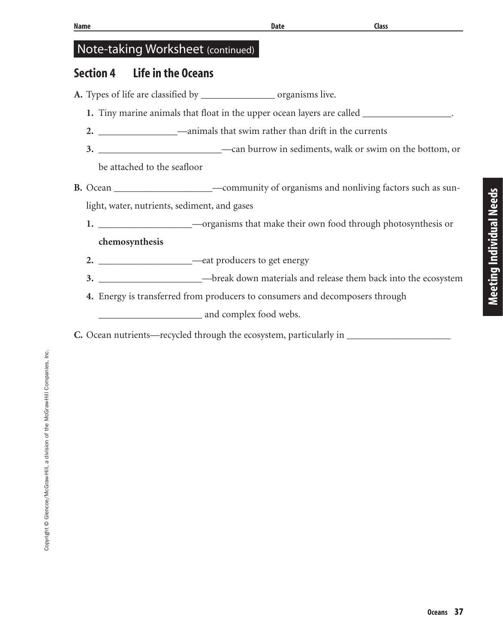## Note-taking Worksheet (continued)

## **Section 4 Life in the Oceans**

- **A.** Types of life are classified by \_\_\_\_\_\_\_\_\_\_\_\_\_\_\_ organisms live.
	- **1.** Tiny marine animals that float in the upper ocean layers are called \_\_\_\_\_\_\_\_\_\_\_\_\_\_\_\_\_\_.
	- **2.** \_\_\_\_\_\_\_\_\_\_\_\_\_\_\_\_—animals that swim rather than drift in the currents
	- **3.** \_\_\_\_\_\_\_\_\_\_\_\_\_\_\_\_\_\_\_\_\_\_\_\_\_—can burrow in sediments, walk or swim on the bottom, or be attached to the seafloor
- **B.** Ocean \_\_\_\_\_\_\_\_\_\_\_\_\_\_\_\_\_\_\_\_—community of organisms and nonliving factors such as sunlight, water, nutrients, sediment, and gases
	- **1.** \_\_\_\_\_\_\_\_\_\_\_\_\_\_\_\_\_\_\_—organisms that make their own food through photosynthesis or **chemosynthesis**
	- **2.** \_\_\_\_\_\_\_\_\_\_\_\_\_\_\_\_\_\_\_—eat producers to get energy
	- **3.** \_\_\_\_\_\_\_\_\_\_\_\_\_\_\_\_\_\_\_\_\_—break down materials and release them back into the ecosystem
	- **4.** Energy is transferred from producers to consumers and decomposers through \_\_\_\_\_\_\_\_\_\_\_\_\_\_\_\_\_\_\_\_\_ and complex food webs.
- **C.** Ocean nutrients—recycled through the ecosystem, particularly in \_\_\_\_\_\_\_\_\_\_\_\_\_\_\_\_\_\_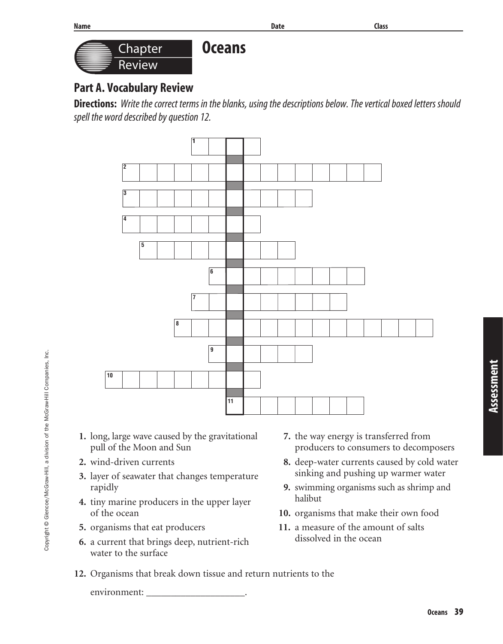

## **Part A. Vocabulary Review**

**Directions:** Write the correct terms in the blanks, using the descriptions below. The vertical boxed letters should spell the word described by question 12.



- **1.** long, large wave caused by the gravitational pull of the Moon and Sun
- **2.** wind-driven currents
- **3.** layer of seawater that changes temperature rapidly
- **4.** tiny marine producers in the upper layer of the ocean
- **5.** organisms that eat producers
- **6.** a current that brings deep, nutrient-rich water to the surface
- **7.** the way energy is transferred from producers to consumers to decomposers
- **8.** deep-water currents caused by cold water sinking and pushing up warmer water
- **9.** swimming organisms such as shrimp and halibut
- **10.** organisms that make their own food
- **11.** a measure of the amount of salts dissolved in the ocean
- **12.** Organisms that break down tissue and return nutrients to the

environment: \_\_\_\_\_\_\_\_\_\_\_\_\_\_\_\_\_\_\_\_.

**Assessment**

Assessment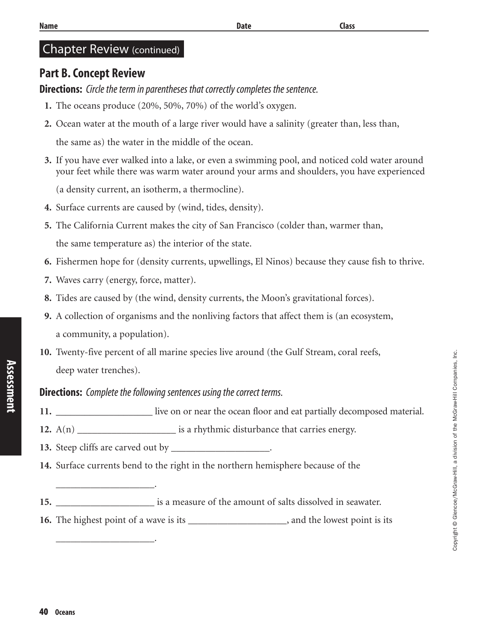#### Chapter Review (continued)

#### **Part B. Concept Review**

**Directions:** Circle the term in parentheses that correctly completes the sentence.

- **1.** The oceans produce (20%, 50%, 70%) of the world's oxygen.
- **2.** Ocean water at the mouth of a large river would have a salinity (greater than, less than,

the same as) the water in the middle of the ocean.

**3.** If you have ever walked into a lake, or even a swimming pool, and noticed cold water around your feet while there was warm water around your arms and shoulders, you have experienced

(a density current, an isotherm, a thermocline).

- **4.** Surface currents are caused by (wind, tides, density).
- **5.** The California Current makes the city of San Francisco (colder than, warmer than, the same temperature as) the interior of the state.
- **6.** Fishermen hope for (density currents, upwellings, El Ninos) because they cause fish to thrive.
- **7.** Waves carry (energy, force, matter).

\_\_\_\_\_\_\_\_\_\_\_\_\_\_\_\_\_\_\_\_.

\_\_\_\_\_\_\_\_\_\_\_\_\_\_\_\_\_\_\_\_.

- **8.** Tides are caused by (the wind, density currents, the Moon's gravitational forces).
- **9.** A collection of organisms and the nonliving factors that affect them is (an ecosystem, a community, a population).
- **10.** Twenty-five percent of all marine species live around (the Gulf Stream, coral reefs, deep water trenches).

#### **Directions:** Complete the following sentences using the correct terms.

- **11.** \_\_\_\_\_\_\_\_\_\_\_\_\_\_\_\_\_\_\_\_ live on or near the ocean floor and eat partially decomposed material.
- **12.** A(n) \_\_\_\_\_\_\_\_\_\_\_\_\_\_\_\_\_\_\_\_\_\_\_\_\_ is a rhythmic disturbance that carries energy.
- **13.** Steep cliffs are carved out by \_\_\_\_\_\_\_\_\_\_\_\_\_\_\_\_\_\_\_\_\_.
- **14.** Surface currents bend to the right in the northern hemisphere because of the
- **15.** \_\_\_\_\_\_\_\_\_\_\_\_\_\_\_\_\_\_\_\_ is a measure of the amount of salts dissolved in seawater.
- **16.** The highest point of a wave is its  $\cdot$ , and the lowest point is its

**Assessment**

Assessment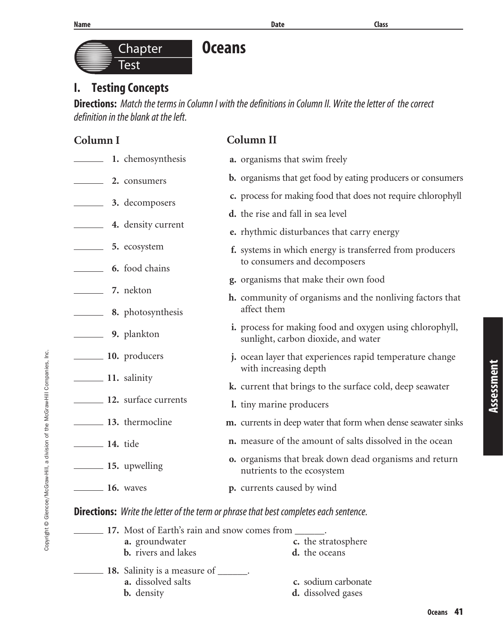Copyright © Glencoe/McGraw-Hill, a division of the McGraw-Hill Companies, Inc.

Copyright @ Glencoe/McGraw-Hill, a division of the McGraw-Hill Companies, Inc.

# **I. Testing Concepts Chapter** Test

**Oceans**

**Directions:** Match the terms in Column I with the definitions in Column II. Write the letter of the correct definition in the blank at the left.

| Column I                                     | Column II                                                                                              |  |  |
|----------------------------------------------|--------------------------------------------------------------------------------------------------------|--|--|
| 1. chemosynthesis                            | a. organisms that swim freely                                                                          |  |  |
| 2. consumers                                 | <b>b.</b> organisms that get food by eating producers or consumers                                     |  |  |
| 3. decomposers                               | c. process for making food that does not require chlorophyll                                           |  |  |
|                                              | <b>d.</b> the rise and fall in sea level                                                               |  |  |
| 4. density current                           | e. rhythmic disturbances that carry energy                                                             |  |  |
| 5. ecosystem                                 | f. systems in which energy is transferred from producers<br>to consumers and decomposers               |  |  |
| <b>6.</b> food chains                        | g. organisms that make their own food                                                                  |  |  |
| <b>2.</b> T. nekton                          | <b>h.</b> community of organisms and the nonliving factors that                                        |  |  |
| <b>8.</b> photosynthesis                     | affect them                                                                                            |  |  |
| <b>9.</b> plankton                           | <i>i.</i> process for making food and oxygen using chlorophyll,<br>sunlight, carbon dioxide, and water |  |  |
| 10. producers                                | j. ocean layer that experiences rapid temperature change                                               |  |  |
| 11. salinity                                 | with increasing depth                                                                                  |  |  |
|                                              | k. current that brings to the surface cold, deep seawater                                              |  |  |
| 12. surface currents                         | 1. tiny marine producers                                                                               |  |  |
| 13. thermocline                              | m. currents in deep water that form when dense seawater sinks                                          |  |  |
| <b>14.</b> tide                              | n. measure of the amount of salts dissolved in the ocean                                               |  |  |
|                                              | <b>o.</b> organisms that break down dead organisms and return<br>nutrients to the ecosystem            |  |  |
| <b>16.</b> waves                             | p. currents caused by wind                                                                             |  |  |
|                                              | <b>Directions:</b> Write the letter of the term or phrase that best completes each sentence.           |  |  |
|                                              | 17. Most of Earth's rain and snow comes from _______.                                                  |  |  |
| a. groundwater<br><b>b.</b> rivers and lakes | c. the stratosphere<br>d. the oceans                                                                   |  |  |
| 18. Salinity is a measure of ______.         |                                                                                                        |  |  |
| a. dissolved salts<br><b>b.</b> density      | c. sodium carbonate<br><b>d.</b> dissolved gases                                                       |  |  |
|                                              |                                                                                                        |  |  |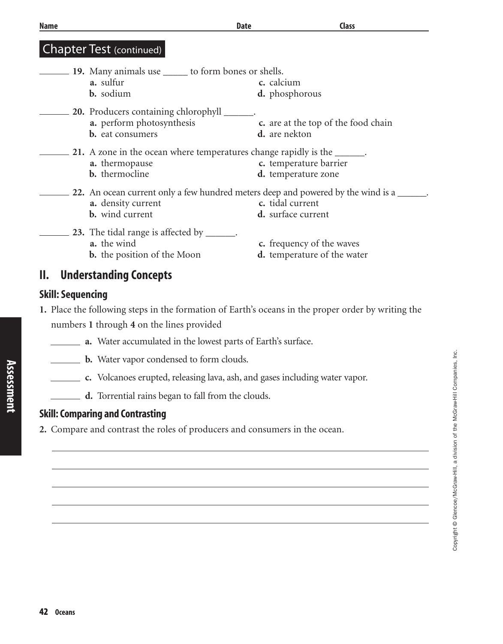| Name | <b>Date</b>                                                                      | <b>Class</b>                                             |
|------|----------------------------------------------------------------------------------|----------------------------------------------------------|
|      | <b>Chapter Test (continued)</b>                                                  |                                                          |
|      | 19. Many animals use ______ to form bones or shells.                             |                                                          |
|      | a. sulfur<br><b>b.</b> sodium                                                    | c. calcium<br>d. phosphorous                             |
|      | <b>20.</b> Producers containing chlorophyll                                      |                                                          |
|      | a. perform photosynthesis<br><b>b.</b> eat consumers                             | c. are at the top of the food chain<br>d. are nekton     |
|      | 21. A zone in the ocean where temperatures change rapidly is the ______.         |                                                          |
|      | a. thermopause<br>b. thermocline                                                 | c. temperature barrier<br>d. temperature zone            |
|      | 22. An ocean current only a few hundred meters deep and powered by the wind is a |                                                          |
|      | a. density current                                                               | c. tidal current                                         |
|      | <b>b.</b> wind current                                                           | d. surface current                                       |
|      | 23. The tidal range is affected by                                               |                                                          |
|      | a. the wind<br><b>b.</b> the position of the Moon                                | c. frequency of the waves<br>d. temperature of the water |
| Ш    | llndorctanding Conconte                                                          |                                                          |

## **II. Understanding Concepts**

#### **Skill: Sequencing**

**Assessment**

**Assessment** 

- **1.** Place the following steps in the formation of Earth's oceans in the proper order by writing the numbers **1** through **4** on the lines provided
	- **a.** Water accumulated in the lowest parts of Earth's surface.
	- **b.** Water vapor condensed to form clouds.
	- **c.** Volcanoes erupted, releasing lava, ash, and gases including water vapor.
	- **d.** Torrential rains began to fall from the clouds.

#### **Skill: Comparing and Contrasting**

**2.** Compare and contrast the roles of producers and consumers in the ocean.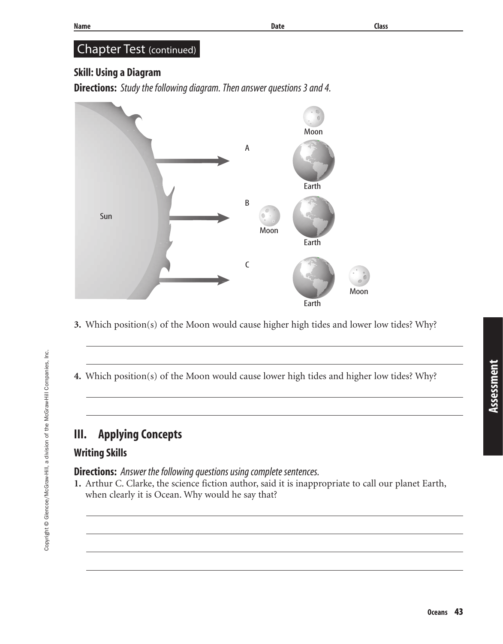## Chapter Test (continued)

### **Skill: Using a Diagram**

**Directions:** Study the following diagram. Then answer questions 3 and 4.



- **3.** Which position(s) of the Moon would cause higher high tides and lower low tides? Why?
- **4.** Which position(s) of the Moon would cause lower high tides and higher low tides? Why?

## **III. Applying Concepts**

### **Writing Skills**

Copyright © Glencoe/McGraw-Hill, a division of the McGraw-Hill Companies, Inc.

Copyright © Glencoe/McGraw-Hill, a division of the McGraw-Hill Companies, Inc.

**Directions:** Answer the following questions using complete sentences.

**1.** Arthur C. Clarke, the science fiction author, said it is inappropriate to call our planet Earth, when clearly it is Ocean. Why would he say that?